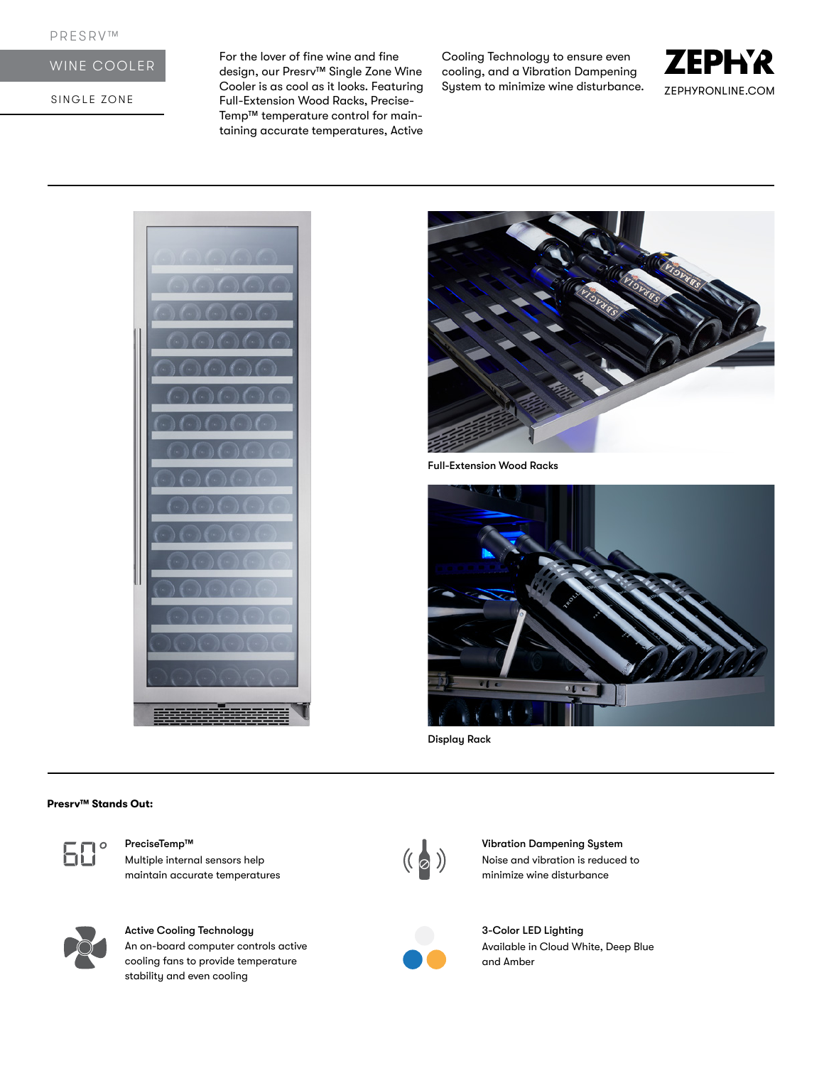# WINE COOLER

SINGLE ZONE

For the lover of fine wine and fine design, our Presrv™ Single Zone Wine Cooler is as cool as it looks. Featuring Full-Extension Wood Racks, Precise-Temp™ temperature control for maintaining accurate temperatures, Active

Cooling Technology to ensure even cooling, and a Vibration Dampening System to minimize wine disturbance.







Full-Extension Wood Racks



Display Rack

#### **Presrv™ Stands Out:**



Multiple internal sensors help maintain accurate temperatures



Active Cooling Technology An on-board computer controls active cooling fans to provide temperature stability and even cooling



PreciseTemp™ Vibration Dampening System<br>Multiple internal sensors help (( a )) Vibration Dampening System<br>multiple internal sensors help ( a ) Noise and vibration is reduced<br>multiple wine disturbance Noise and vibration is reduced to minimize wine disturbance



3-Color LED Lighting Available in Cloud White, Deep Blue and Amber